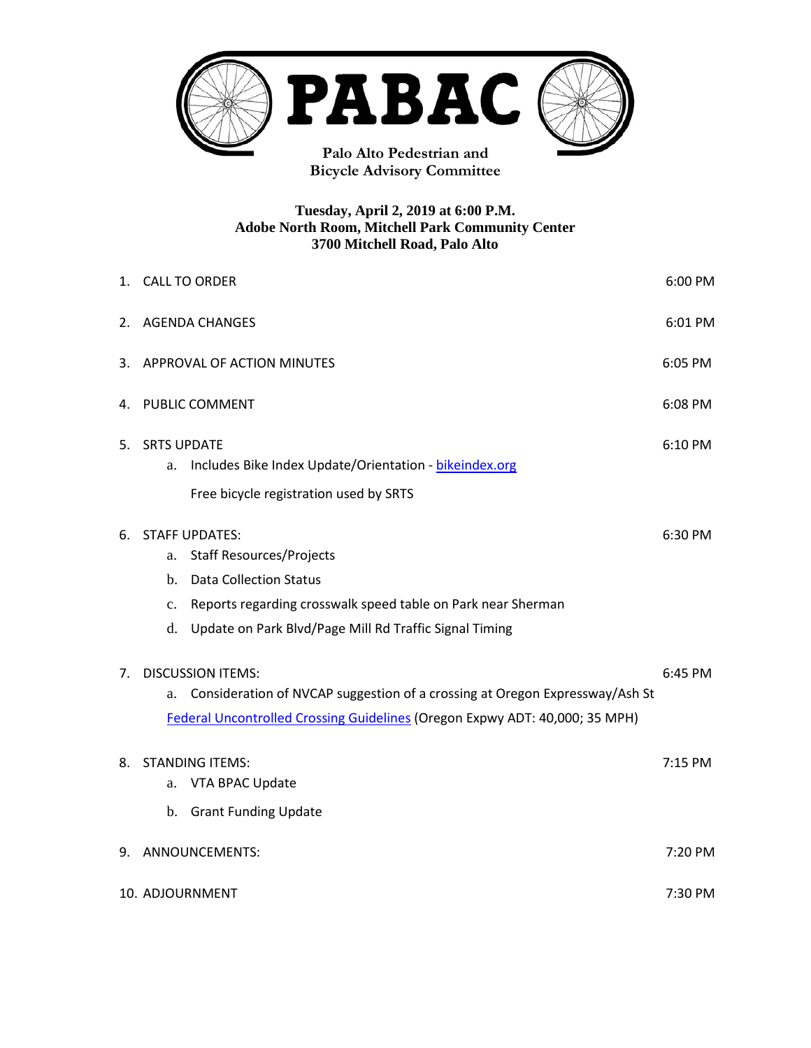

**Bicycle Advisory Committee**

## **Tuesday, April 2, 2019 at 6:00 P.M. Adobe North Room, Mitchell Park Community Center 3700 Mitchell Road, Palo Alto**

|    | 6:00 PM<br>1. CALL TO ORDER                                                                                                                                                                                                                 |         |  |  |
|----|---------------------------------------------------------------------------------------------------------------------------------------------------------------------------------------------------------------------------------------------|---------|--|--|
| 2. | <b>AGENDA CHANGES</b>                                                                                                                                                                                                                       |         |  |  |
| 3. | APPROVAL OF ACTION MINUTES<br>6:05 PM                                                                                                                                                                                                       |         |  |  |
|    | 4. PUBLIC COMMENT<br>6:08 PM                                                                                                                                                                                                                |         |  |  |
| 5. | <b>SRTS UPDATE</b><br>6:10 PM<br>Includes Bike Index Update/Orientation - bikeindex.org<br>a.<br>Free bicycle registration used by SRTS                                                                                                     |         |  |  |
| 6. | <b>STAFF UPDATES:</b><br><b>Staff Resources/Projects</b><br>a.<br><b>Data Collection Status</b><br>b.<br>Reports regarding crosswalk speed table on Park near Sherman<br>c.<br>Update on Park Blvd/Page Mill Rd Traffic Signal Timing<br>d. | 6:30 PM |  |  |
| 7. | <b>DISCUSSION ITEMS:</b><br>Consideration of NVCAP suggestion of a crossing at Oregon Expressway/Ash St<br>a.<br>Federal Uncontrolled Crossing Guidelines (Oregon Expwy ADT: 40,000; 35 MPH)                                                |         |  |  |
| 8. | <b>STANDING ITEMS:</b><br>VTA BPAC Update<br>a.<br>b. Grant Funding Update                                                                                                                                                                  | 7:15 PM |  |  |
| 9. | ANNOUNCEMENTS:                                                                                                                                                                                                                              |         |  |  |
|    | 10. ADJOURNMENT<br>7:30 PM                                                                                                                                                                                                                  |         |  |  |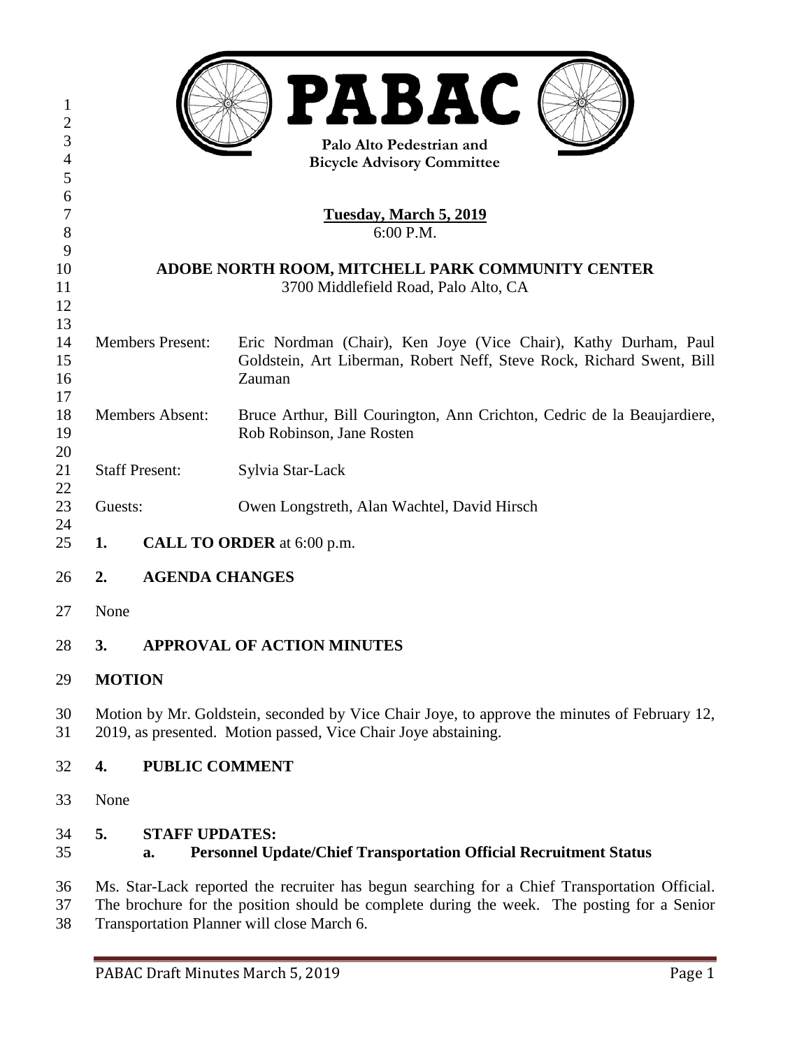| $\mathbf{1}$              |                                                                                                                                                                |                                                                                                         | <b>PABAC</b>                                                                                                                                                                                                                              |  |  |
|---------------------------|----------------------------------------------------------------------------------------------------------------------------------------------------------------|---------------------------------------------------------------------------------------------------------|-------------------------------------------------------------------------------------------------------------------------------------------------------------------------------------------------------------------------------------------|--|--|
| $\overline{2}$            |                                                                                                                                                                |                                                                                                         |                                                                                                                                                                                                                                           |  |  |
| 3                         | Palo Alto Pedestrian and                                                                                                                                       |                                                                                                         |                                                                                                                                                                                                                                           |  |  |
| $\overline{4}$<br>5       | <b>Bicycle Advisory Committee</b>                                                                                                                              |                                                                                                         |                                                                                                                                                                                                                                           |  |  |
| 6                         |                                                                                                                                                                |                                                                                                         |                                                                                                                                                                                                                                           |  |  |
| $\boldsymbol{7}$<br>$8\,$ | <u>Tuesday, March 5, 2019</u><br>6:00 P.M.                                                                                                                     |                                                                                                         |                                                                                                                                                                                                                                           |  |  |
| 9                         |                                                                                                                                                                |                                                                                                         |                                                                                                                                                                                                                                           |  |  |
| 10                        | ADOBE NORTH ROOM, MITCHELL PARK COMMUNITY CENTER                                                                                                               |                                                                                                         |                                                                                                                                                                                                                                           |  |  |
| 11<br>12                  |                                                                                                                                                                |                                                                                                         | 3700 Middlefield Road, Palo Alto, CA                                                                                                                                                                                                      |  |  |
| 13                        |                                                                                                                                                                |                                                                                                         |                                                                                                                                                                                                                                           |  |  |
| 14                        | <b>Members Present:</b>                                                                                                                                        |                                                                                                         | Eric Nordman (Chair), Ken Joye (Vice Chair), Kathy Durham, Paul                                                                                                                                                                           |  |  |
| 15                        |                                                                                                                                                                |                                                                                                         | Goldstein, Art Liberman, Robert Neff, Steve Rock, Richard Swent, Bill                                                                                                                                                                     |  |  |
| 16                        |                                                                                                                                                                |                                                                                                         | Zauman                                                                                                                                                                                                                                    |  |  |
| 17                        |                                                                                                                                                                |                                                                                                         |                                                                                                                                                                                                                                           |  |  |
| 18<br>19                  | <b>Members Absent:</b>                                                                                                                                         |                                                                                                         | Bruce Arthur, Bill Courington, Ann Crichton, Cedric de la Beaujardiere,<br>Rob Robinson, Jane Rosten                                                                                                                                      |  |  |
| 20                        |                                                                                                                                                                |                                                                                                         |                                                                                                                                                                                                                                           |  |  |
| 21<br>22                  |                                                                                                                                                                | <b>Staff Present:</b>                                                                                   | Sylvia Star-Lack                                                                                                                                                                                                                          |  |  |
| 23<br>24                  | Guests:                                                                                                                                                        |                                                                                                         | Owen Longstreth, Alan Wachtel, David Hirsch                                                                                                                                                                                               |  |  |
| 25                        | CALL TO ORDER at 6:00 p.m.<br>1.                                                                                                                               |                                                                                                         |                                                                                                                                                                                                                                           |  |  |
| 26                        | <b>AGENDA CHANGES</b><br>2.                                                                                                                                    |                                                                                                         |                                                                                                                                                                                                                                           |  |  |
| 27                        | None                                                                                                                                                           |                                                                                                         |                                                                                                                                                                                                                                           |  |  |
| 28                        | <b>APPROVAL OF ACTION MINUTES</b><br>3.                                                                                                                        |                                                                                                         |                                                                                                                                                                                                                                           |  |  |
| 29                        | <b>MOTION</b>                                                                                                                                                  |                                                                                                         |                                                                                                                                                                                                                                           |  |  |
| 30<br>31                  | Motion by Mr. Goldstein, seconded by Vice Chair Joye, to approve the minutes of February 12,<br>2019, as presented. Motion passed, Vice Chair Joye abstaining. |                                                                                                         |                                                                                                                                                                                                                                           |  |  |
| 32                        | 4.                                                                                                                                                             | <b>PUBLIC COMMENT</b>                                                                                   |                                                                                                                                                                                                                                           |  |  |
| 33                        |                                                                                                                                                                | None                                                                                                    |                                                                                                                                                                                                                                           |  |  |
| 34<br>35                  | 5.                                                                                                                                                             | <b>STAFF UPDATES:</b><br><b>Personnel Update/Chief Transportation Official Recruitment Status</b><br>a. |                                                                                                                                                                                                                                           |  |  |
| 36<br>37<br>38            |                                                                                                                                                                |                                                                                                         | Ms. Star-Lack reported the recruiter has begun searching for a Chief Transportation Official.<br>The brochure for the position should be complete during the week. The posting for a Senior<br>Transportation Planner will close March 6. |  |  |
|                           |                                                                                                                                                                |                                                                                                         |                                                                                                                                                                                                                                           |  |  |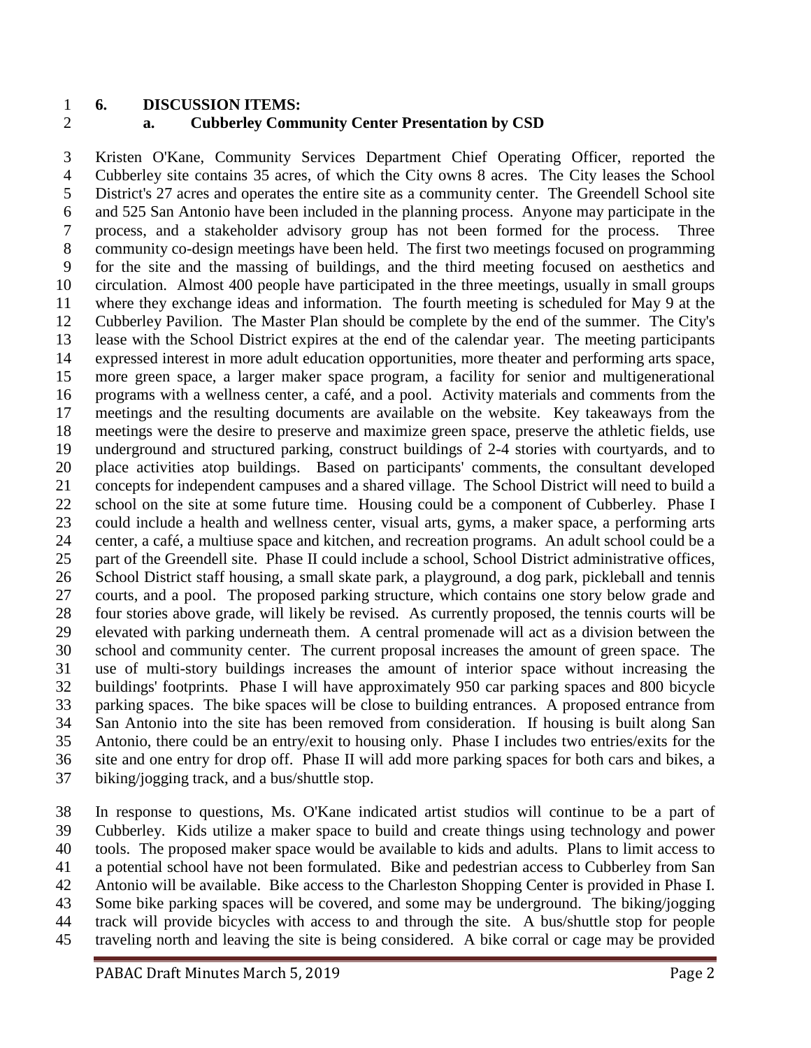## **6. DISCUSSION ITEMS: a. Cubberley Community Center Presentation by CSD**

 Kristen O'Kane, Community Services Department Chief Operating Officer, reported the Cubberley site contains 35 acres, of which the City owns 8 acres. The City leases the School District's 27 acres and operates the entire site as a community center. The Greendell School site and 525 San Antonio have been included in the planning process. Anyone may participate in the process, and a stakeholder advisory group has not been formed for the process. Three community co-design meetings have been held. The first two meetings focused on programming for the site and the massing of buildings, and the third meeting focused on aesthetics and circulation. Almost 400 people have participated in the three meetings, usually in small groups where they exchange ideas and information. The fourth meeting is scheduled for May 9 at the Cubberley Pavilion. The Master Plan should be complete by the end of the summer. The City's lease with the School District expires at the end of the calendar year. The meeting participants expressed interest in more adult education opportunities, more theater and performing arts space, more green space, a larger maker space program, a facility for senior and multigenerational programs with a wellness center, a café, and a pool. Activity materials and comments from the meetings and the resulting documents are available on the website. Key takeaways from the meetings were the desire to preserve and maximize green space, preserve the athletic fields, use underground and structured parking, construct buildings of 2-4 stories with courtyards, and to place activities atop buildings. Based on participants' comments, the consultant developed concepts for independent campuses and a shared village. The School District will need to build a school on the site at some future time. Housing could be a component of Cubberley. Phase I could include a health and wellness center, visual arts, gyms, a maker space, a performing arts center, a café, a multiuse space and kitchen, and recreation programs. An adult school could be a part of the Greendell site. Phase II could include a school, School District administrative offices, School District staff housing, a small skate park, a playground, a dog park, pickleball and tennis courts, and a pool. The proposed parking structure, which contains one story below grade and four stories above grade, will likely be revised. As currently proposed, the tennis courts will be elevated with parking underneath them. A central promenade will act as a division between the school and community center. The current proposal increases the amount of green space. The use of multi-story buildings increases the amount of interior space without increasing the buildings' footprints. Phase I will have approximately 950 car parking spaces and 800 bicycle parking spaces. The bike spaces will be close to building entrances. A proposed entrance from San Antonio into the site has been removed from consideration. If housing is built along San Antonio, there could be an entry/exit to housing only. Phase I includes two entries/exits for the site and one entry for drop off. Phase II will add more parking spaces for both cars and bikes, a biking/jogging track, and a bus/shuttle stop.

 In response to questions, Ms. O'Kane indicated artist studios will continue to be a part of Cubberley. Kids utilize a maker space to build and create things using technology and power tools. The proposed maker space would be available to kids and adults. Plans to limit access to a potential school have not been formulated. Bike and pedestrian access to Cubberley from San Antonio will be available. Bike access to the Charleston Shopping Center is provided in Phase I. Some bike parking spaces will be covered, and some may be underground. The biking/jogging track will provide bicycles with access to and through the site. A bus/shuttle stop for people traveling north and leaving the site is being considered. A bike corral or cage may be provided